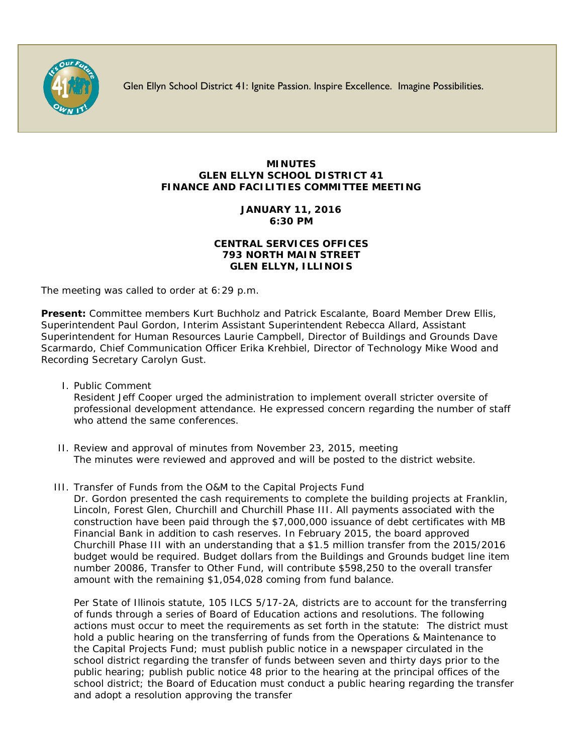

Glen Ellyn School District 41: Ignite Passion. Inspire Excellence. Imagine Possibilities.

## **MINUTES GLEN ELLYN SCHOOL DISTRICT 41 FINANCE AND FACILITIES COMMITTEE MEETING**

# **JANUARY 11, 2016 6:30 PM**

## **CENTRAL SERVICES OFFICES 793 NORTH MAIN STREET GLEN ELLYN, ILLINOIS**

The meeting was called to order at 6:29 p.m.

**Present:** Committee members Kurt Buchholz and Patrick Escalante, Board Member Drew Ellis, Superintendent Paul Gordon, Interim Assistant Superintendent Rebecca Allard, Assistant Superintendent for Human Resources Laurie Campbell, Director of Buildings and Grounds Dave Scarmardo, Chief Communication Officer [Erika Krehbiel,](http://www.d41.org/contact_email.asp?id=ekrehbiel&n=Erika_Krehbiel) Director of Technology Mike Wood and Recording Secretary Carolyn Gust.

- I. Public Comment Resident Jeff Cooper urged the administration to implement overall stricter oversite of professional development attendance. He expressed concern regarding the number of staff who attend the same conferences.
- II. Review and approval of minutes from November 23, 2015, meeting The minutes were reviewed and approved and will be posted to the district website.
- III. Transfer of Funds from the O&M to the Capital Projects Fund

Dr. Gordon presented the cash requirements to complete the building projects at Franklin, Lincoln, Forest Glen, Churchill and Churchill Phase III. All payments associated with the construction have been paid through the \$7,000,000 issuance of debt certificates with MB Financial Bank in addition to cash reserves. In February 2015, the board approved Churchill Phase III with an understanding that a \$1.5 million transfer from the 2015/2016 budget would be required. Budget dollars from the Buildings and Grounds budget line item number 20086, Transfer to Other Fund, will contribute \$598,250 to the overall transfer amount with the remaining \$1,054,028 coming from fund balance.

Per State of Illinois statute, 105 ILCS 5/17-2A, districts are to account for the transferring of funds through a series of Board of Education actions and resolutions. The following actions must occur to meet the requirements as set forth in the statute: The district must hold a public hearing on the transferring of funds from the Operations & Maintenance to the Capital Projects Fund; must publish public notice in a newspaper circulated in the school district regarding the transfer of funds between seven and thirty days prior to the public hearing; publish public notice 48 prior to the hearing at the principal offices of the school district; the Board of Education must conduct a public hearing regarding the transfer and adopt a resolution approving the transfer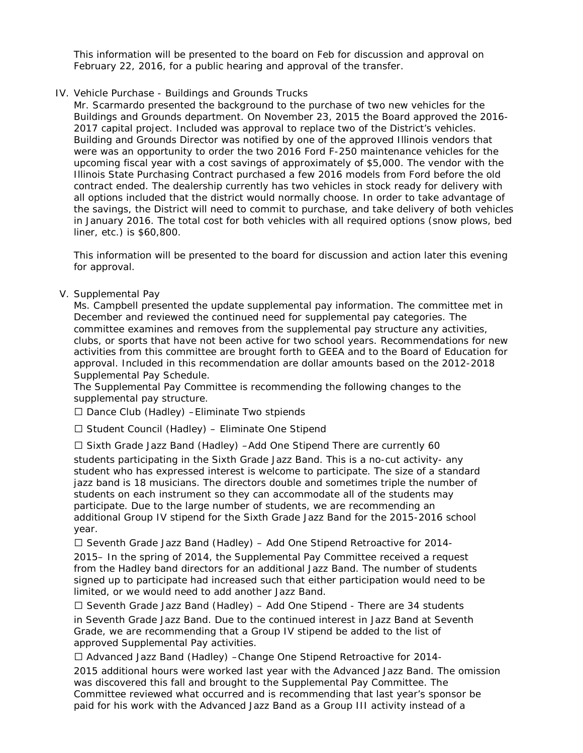This information will be presented to the board on Feb for discussion and approval on February 22, 2016, for a public hearing and approval of the transfer.

## IV. Vehicle Purchase - Buildings and Grounds Trucks

Mr. Scarmardo presented the background to the purchase of two new vehicles for the Buildings and Grounds department. On November 23, 2015 the Board approved the 2016- 2017 capital project. Included was approval to replace two of the District's vehicles. Building and Grounds Director was notified by one of the approved Illinois vendors that were was an opportunity to order the two 2016 Ford F-250 maintenance vehicles for the upcoming fiscal year with a cost savings of approximately of \$5,000. The vendor with the Illinois State Purchasing Contract purchased a few 2016 models from Ford before the old contract ended. The dealership currently has two vehicles in stock ready for delivery with all options included that the district would normally choose. In order to take advantage of the savings, the District will need to commit to purchase, and take delivery of both vehicles in January 2016. The total cost for both vehicles with all required options (snow plows, bed liner, etc.) is \$60,800.

This information will be presented to the board for discussion and action later this evening for approval.

## V. Supplemental Pay

Ms. Campbell presented the update supplemental pay information. The committee met in December and reviewed the continued need for supplemental pay categories. The committee examines and removes from the supplemental pay structure any activities, clubs, or sports that have not been active for two school years. Recommendations for new activities from this committee are brought forth to GEEA and to the Board of Education for approval. Included in this recommendation are dollar amounts based on the 2012-2018 Supplemental Pay Schedule.

The Supplemental Pay Committee is recommending the following changes to the supplemental pay structure.

 $\Box$  Dance Club (Hadley) - Eliminate Two stpiends

 $\Box$  Student Council (Hadley) – Eliminate One Stipend

 $\Box$  Sixth Grade Jazz Band (Hadley) –Add One Stipend There are currently 60

students participating in the Sixth Grade Jazz Band. This is a no-cut activity- any student who has expressed interest is welcome to participate. The size of a standard jazz band is 18 musicians. The directors double and sometimes triple the number of students on each instrument so they can accommodate all of the students may participate. Due to the large number of students, we are recommending an additional Group IV stipend for the Sixth Grade Jazz Band for the 2015-2016 school year.

 $\Box$  Seventh Grade Jazz Band (Hadley) – Add One Stipend Retroactive for 2014-

2015– In the spring of 2014, the Supplemental Pay Committee received a request from the Hadley band directors for an additional Jazz Band. The number of students signed up to participate had increased such that either participation would need to be limited, or we would need to add another Jazz Band.

 $\Box$  Seventh Grade Jazz Band (Hadley) – Add One Stipend - There are 34 students

in Seventh Grade Jazz Band. Due to the continued interest in Jazz Band at Seventh Grade, we are recommending that a Group IV stipend be added to the list of approved Supplemental Pay activities.

Advanced Jazz Band (Hadley) –Change One Stipend Retroactive for 2014-

2015 additional hours were worked last year with the Advanced Jazz Band. The omission was discovered this fall and brought to the Supplemental Pay Committee. The Committee reviewed what occurred and is recommending that last year's sponsor be paid for his work with the Advanced Jazz Band as a Group III activity instead of a